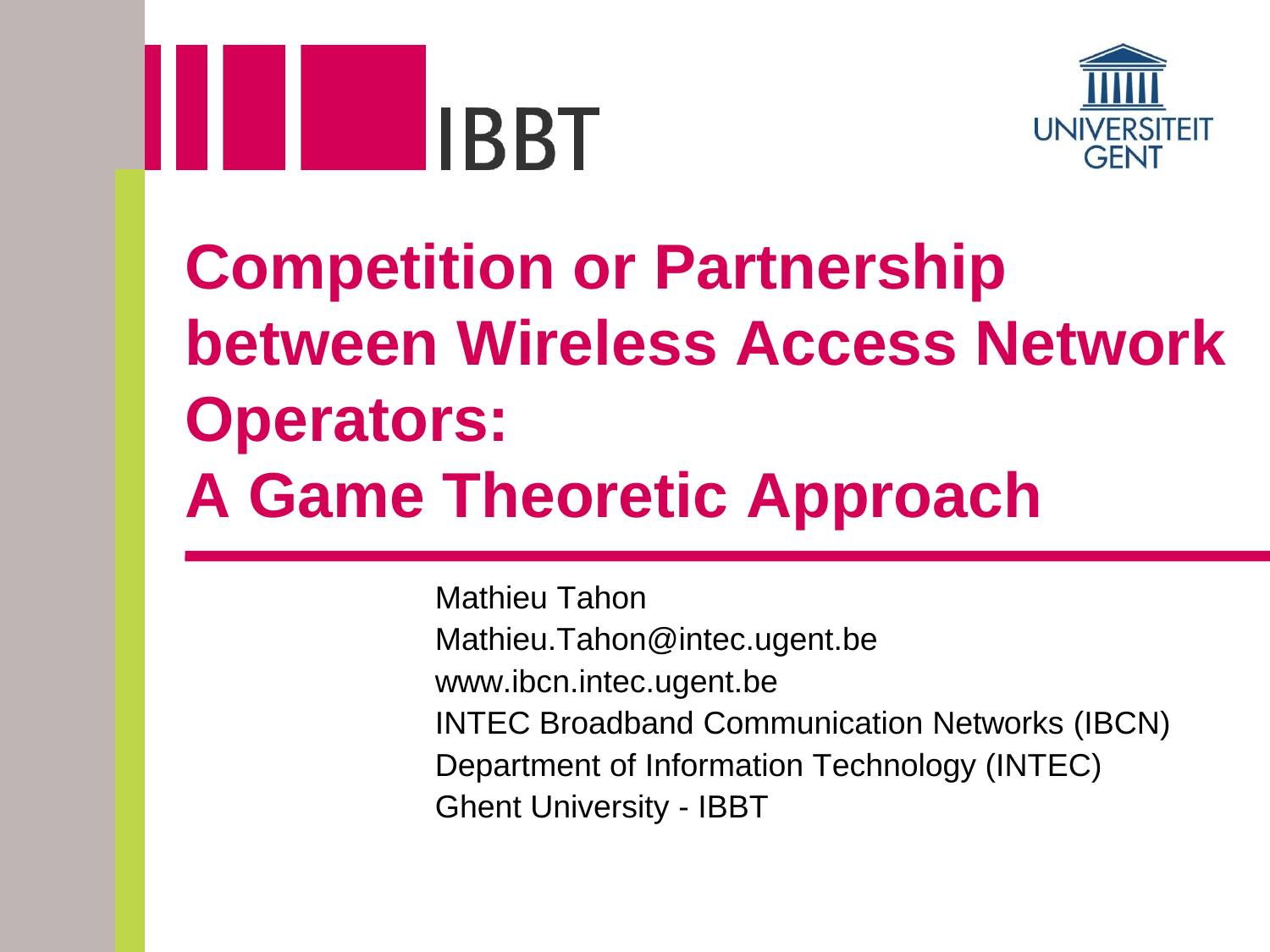



## **Competition or Partnership between Wireless Access Network Operators: A Game Theoretic Approach**

Mathieu Tahon Mathieu.Tahon@intec.ugent.be www.ibcn.intec.ugent.be INTEC Broadband Communication Networks (IBCN) Department of Information Technology (INTEC) Ghent University - IBBT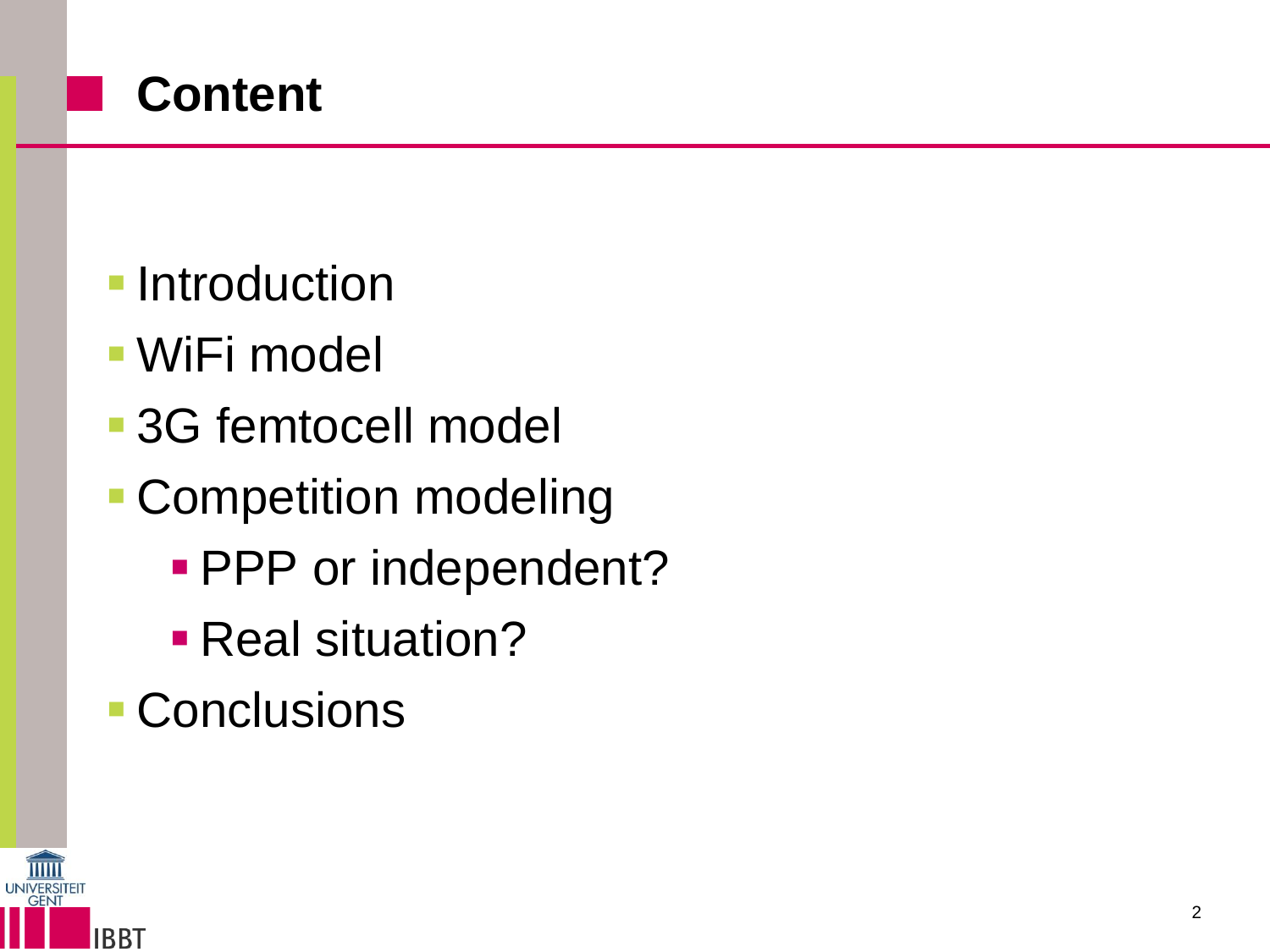

- **Introduction**
- WiFi model
- 3G femtocell model
- Competition modeling
	- **PPP** or independent?
	- **Real situation?**
- Conclusions

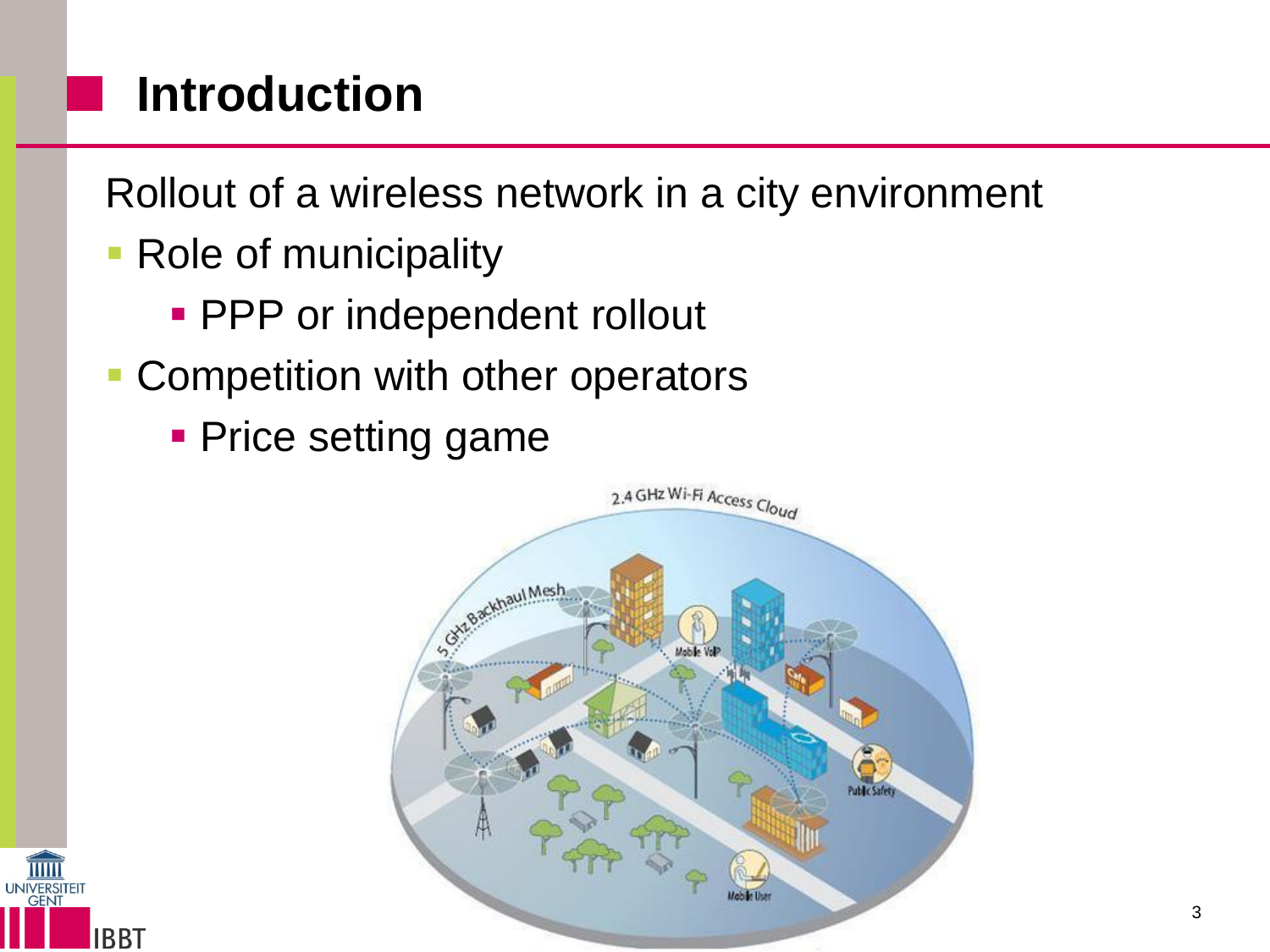## **Introduction**

Rollout of a wireless network in a city environment

- Role of municipality
	- **PPP** or independent rollout
- Competition with other operators
	- **Price setting game**



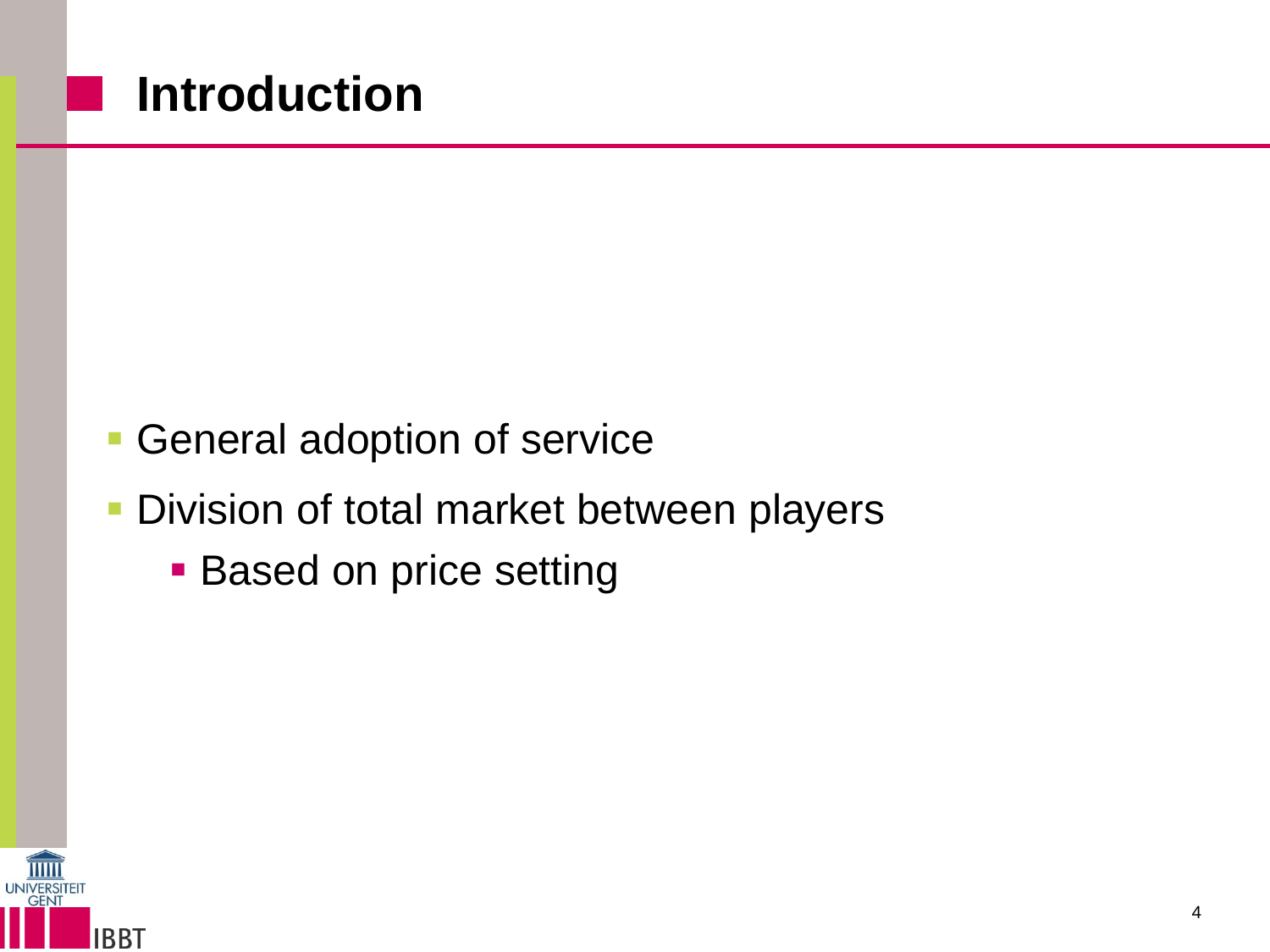#### **Introduction**

- **General adoption of service**
- **Division of total market between players** 
	- **Based on price setting**

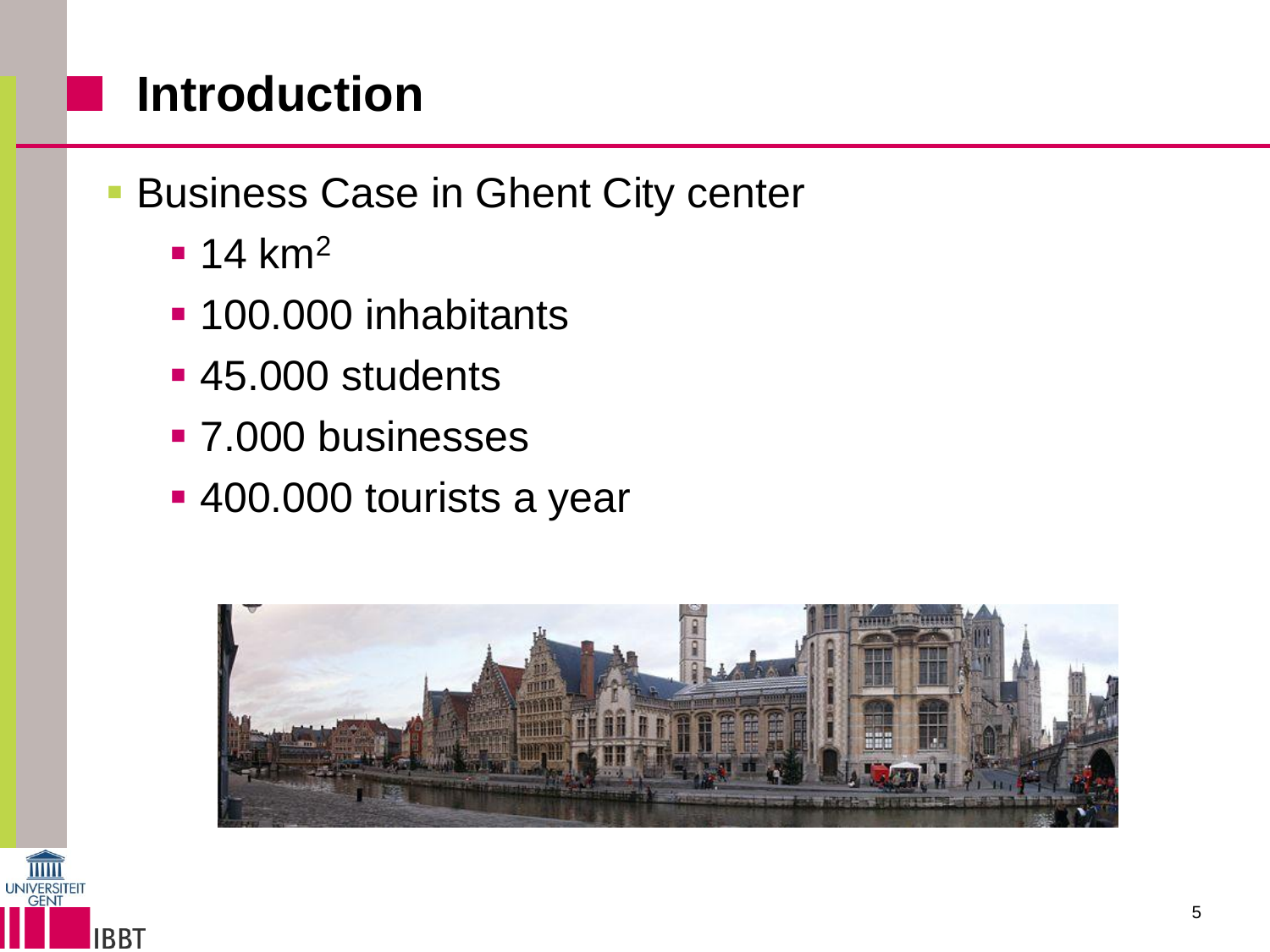#### **Introduction**

- **Business Case in Ghent City center** 
	- $-14$  km<sup>2</sup>
	- **100.000 inhabitants**
	- 45.000 students
	- **7.000 businesses**
	- 400.000 tourists a year



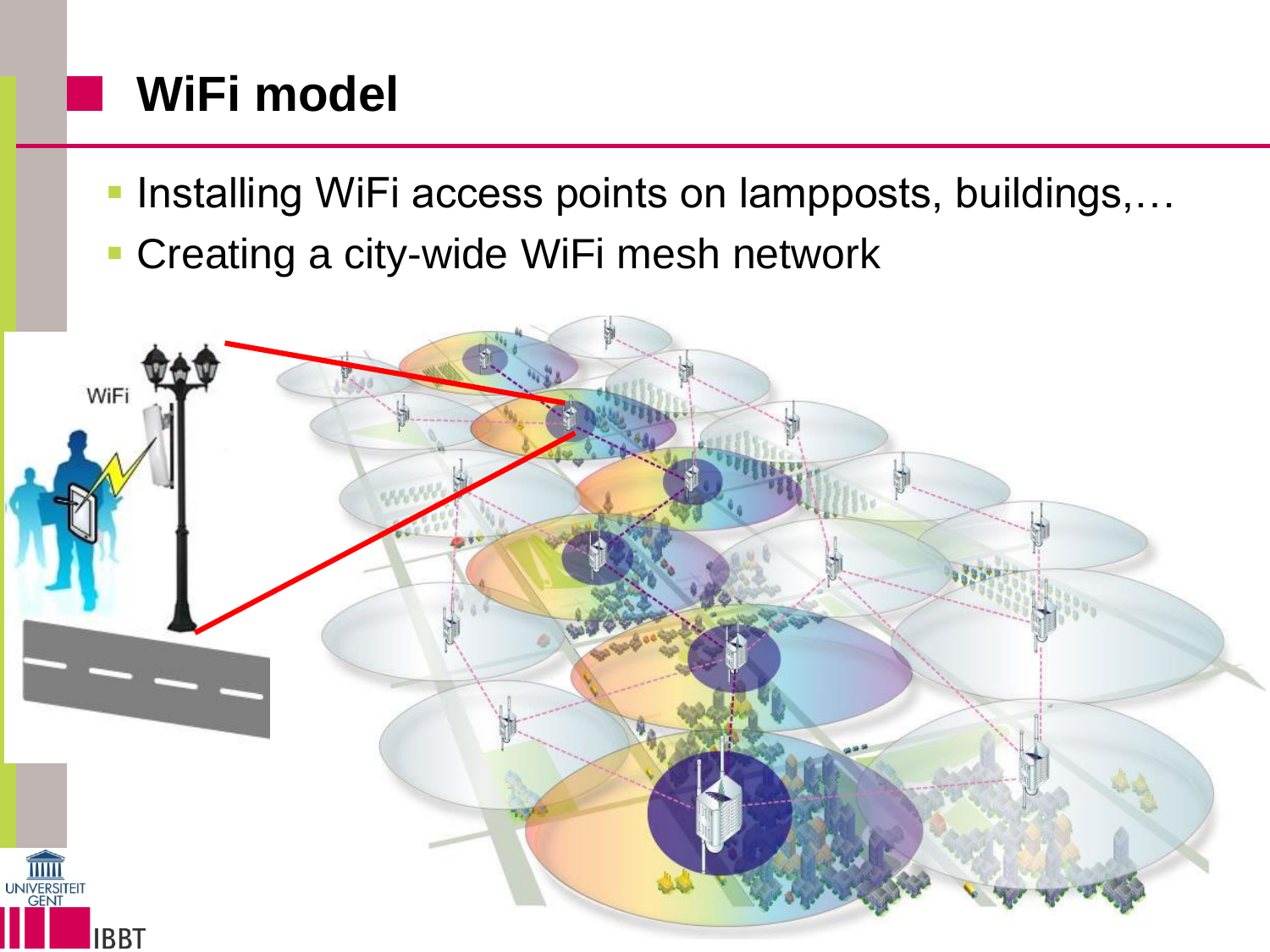## **WiFi model**

- **Installing WiFi access points on lampposts, buildings,...**
- **Creating a city-wide WiFi mesh network**

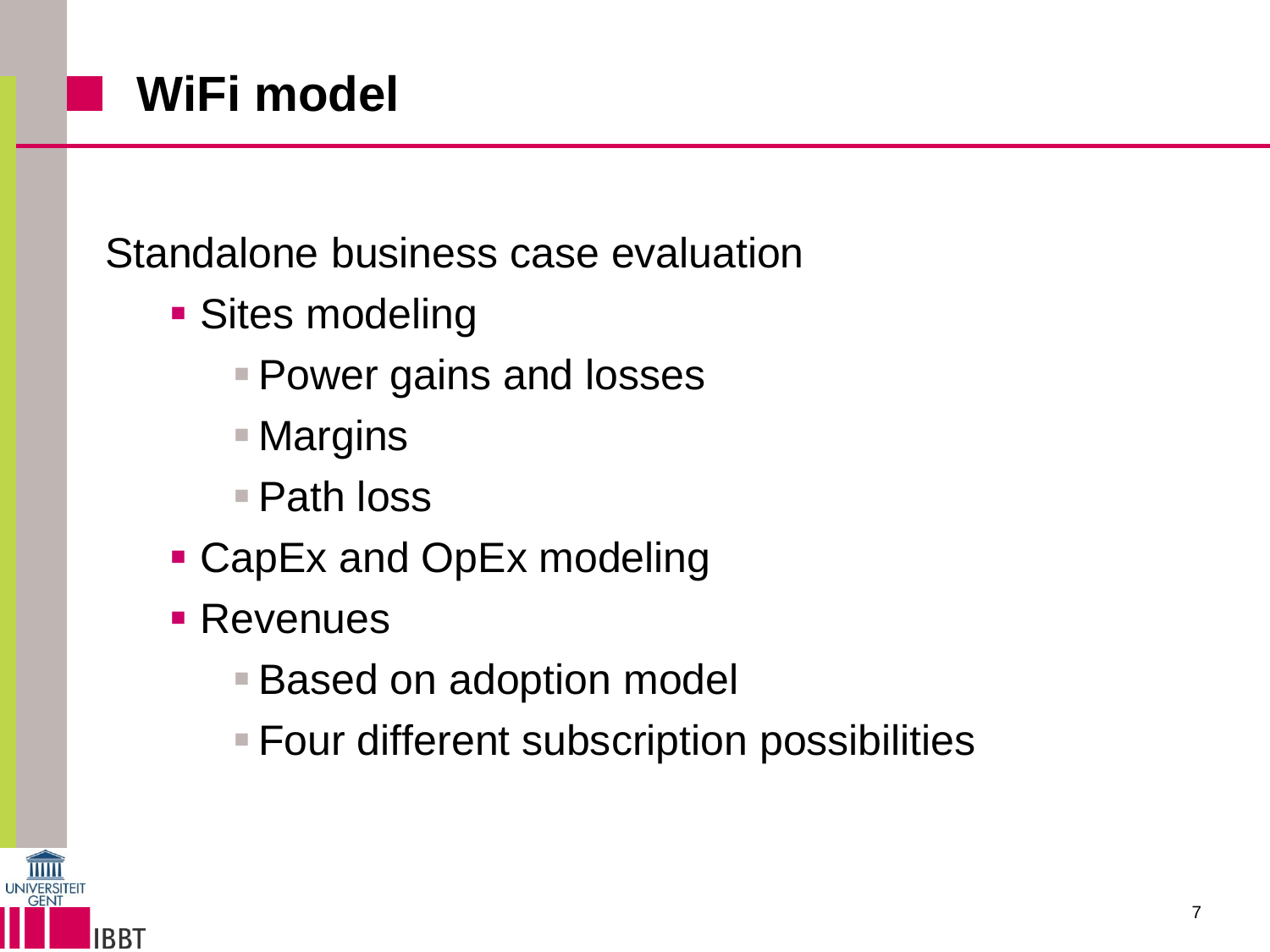## **WiFi model**

Standalone business case evaluation

- **Sites modeling** 
	- **Power gains and losses**
	- Margins
	- Path loss
- CapEx and OpEx modeling
- **Revenues** 
	- **Based on adoption model**
	- **Four different subscription possibilities**

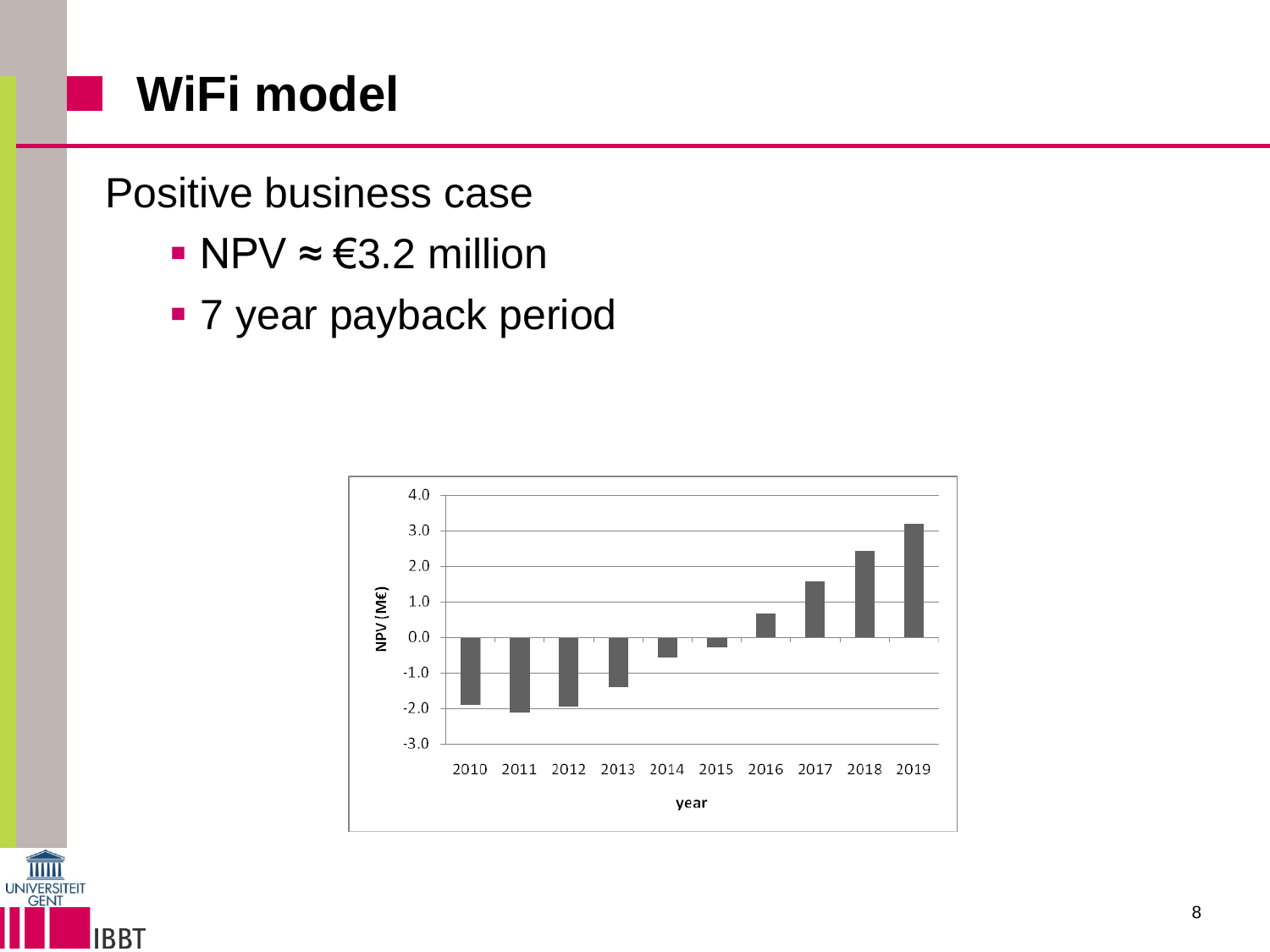## **WiFi model**

Positive business case

- $NPV \approx \text{\textsterling}3.2$  million
- **7 year payback period**



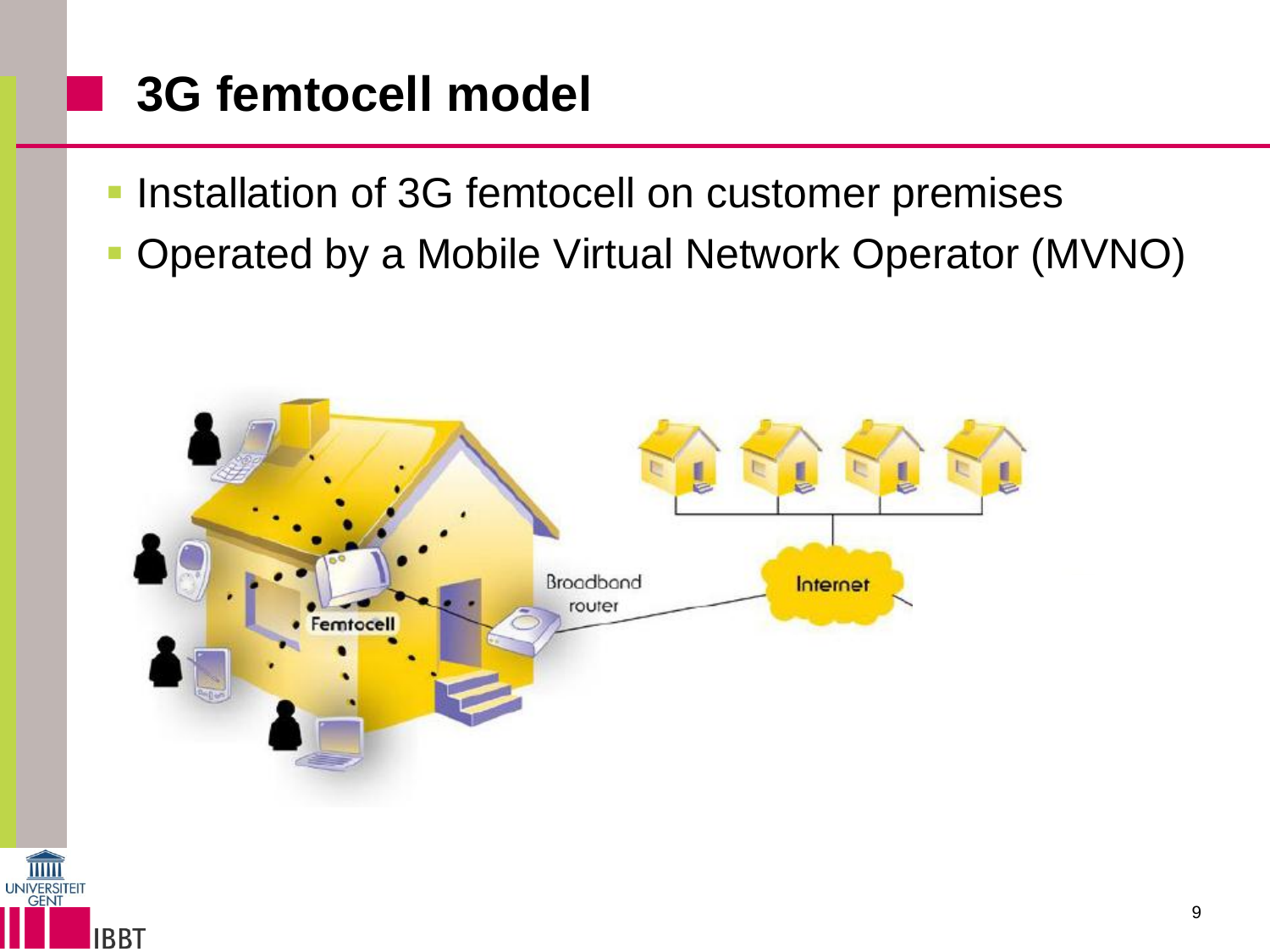## **3G femtocell model**

- **Installation of 3G femtocell on customer premises**
- Operated by a Mobile Virtual Network Operator (MVNO)

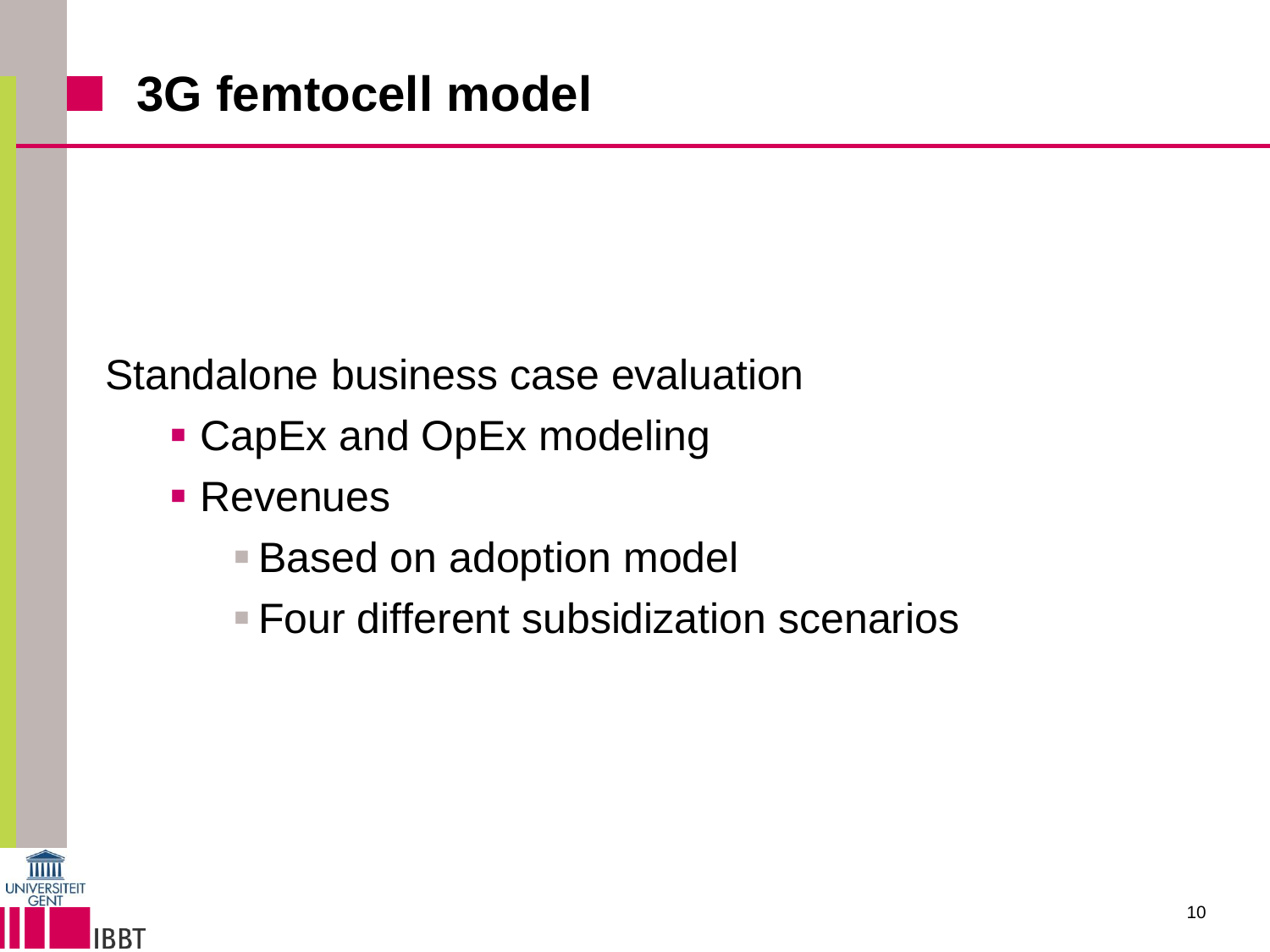#### Standalone business case evaluation

- CapEx and OpEx modeling
- **Revenues** 
	- **Based on adoption model**
	- **Four different subsidization scenarios**



an an a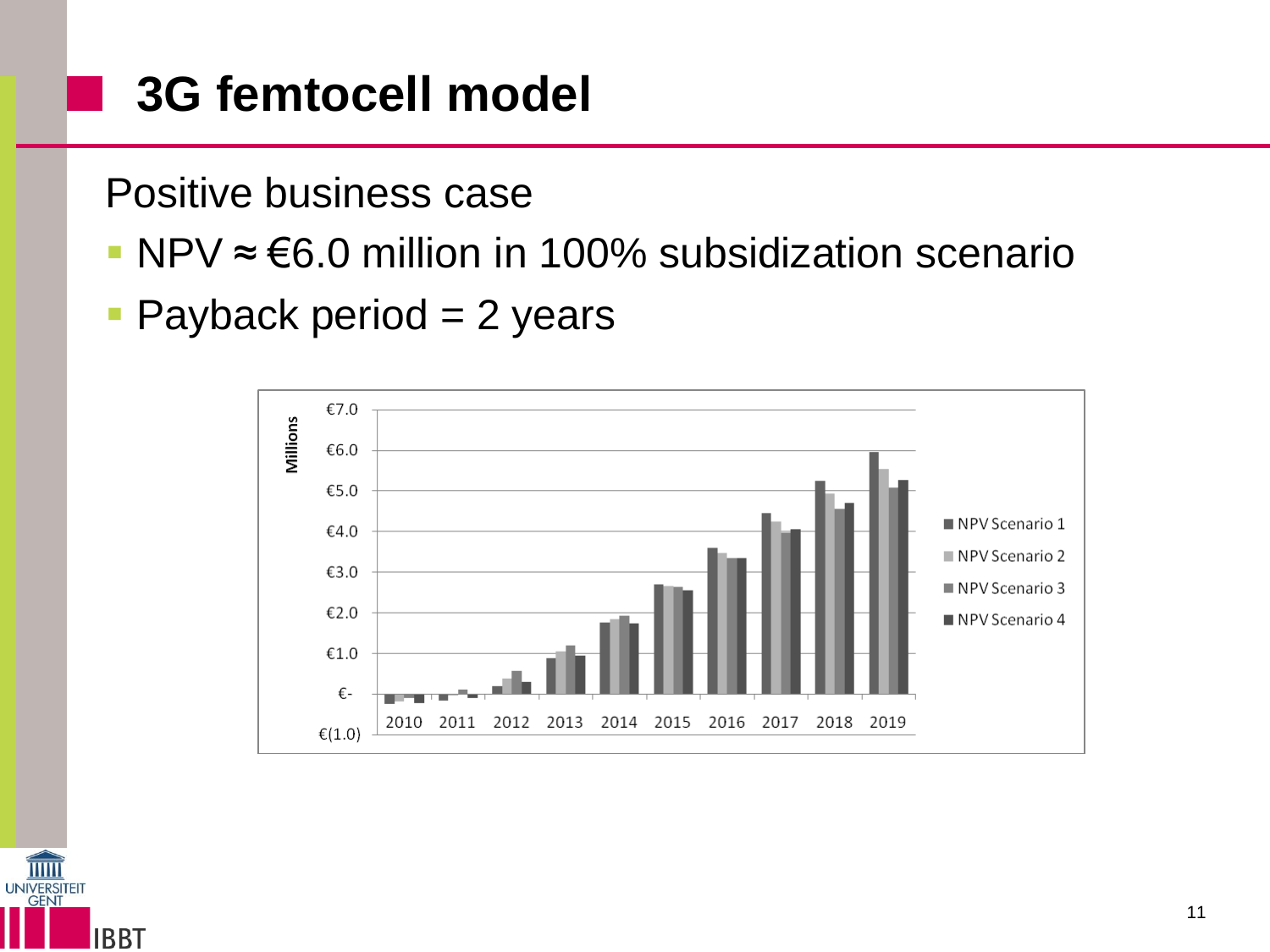## **3G femtocell model**

Positive business case

- NPV ≈ €6.0 million in 100% subsidization scenario
- $\blacksquare$  Payback period = 2 years





a s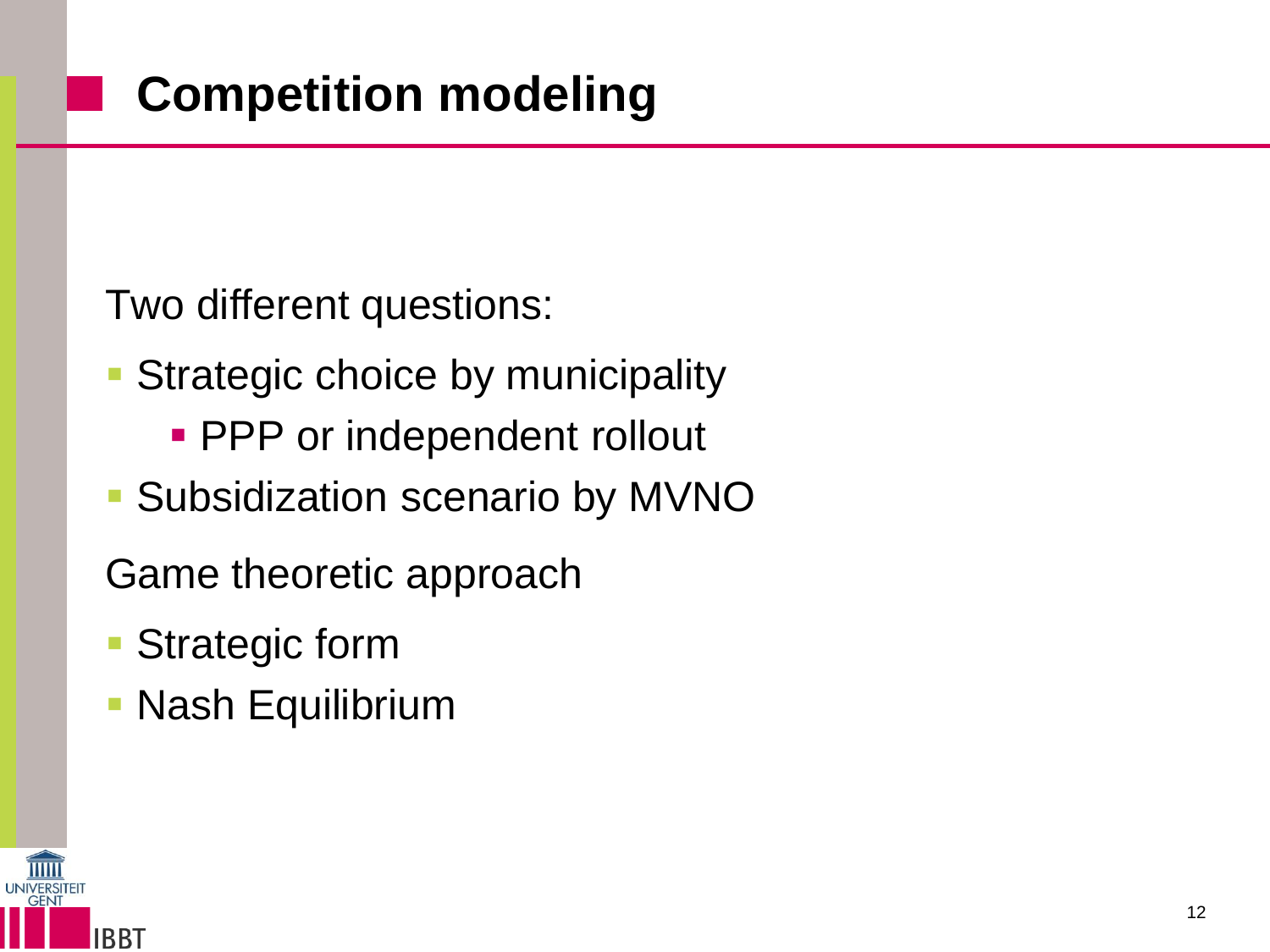Two different questions:

- Strategic choice by municipality
	- **PPP** or independent rollout
- Subsidization scenario by MVNO

Game theoretic approach

- Strategic form
- Nash Equilibrium

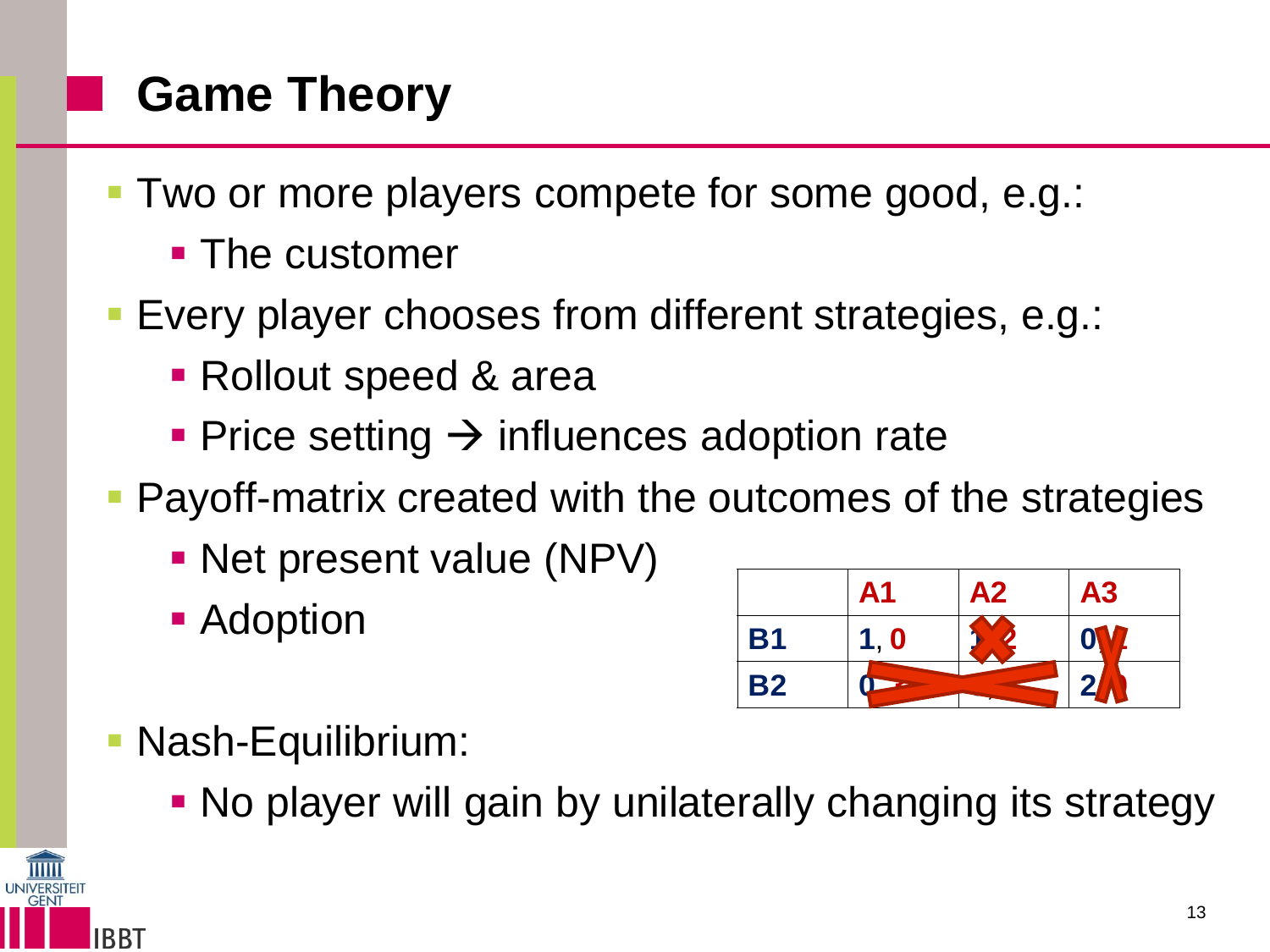## **Game Theory**

- Two or more players compete for some good, e.g.:
	- **The customer**
- Every player chooses from different strategies, e.g.:
	- Rollout speed & area
	- Price setting  $\rightarrow$  influences adoption rate
- **Payoff-matrix created with the outcomes of the strategies** 
	- Net present value (NPV)
	- Adoption



Nash-Equilibrium:

**BBT** 

No player will gain by unilaterally changing its strategy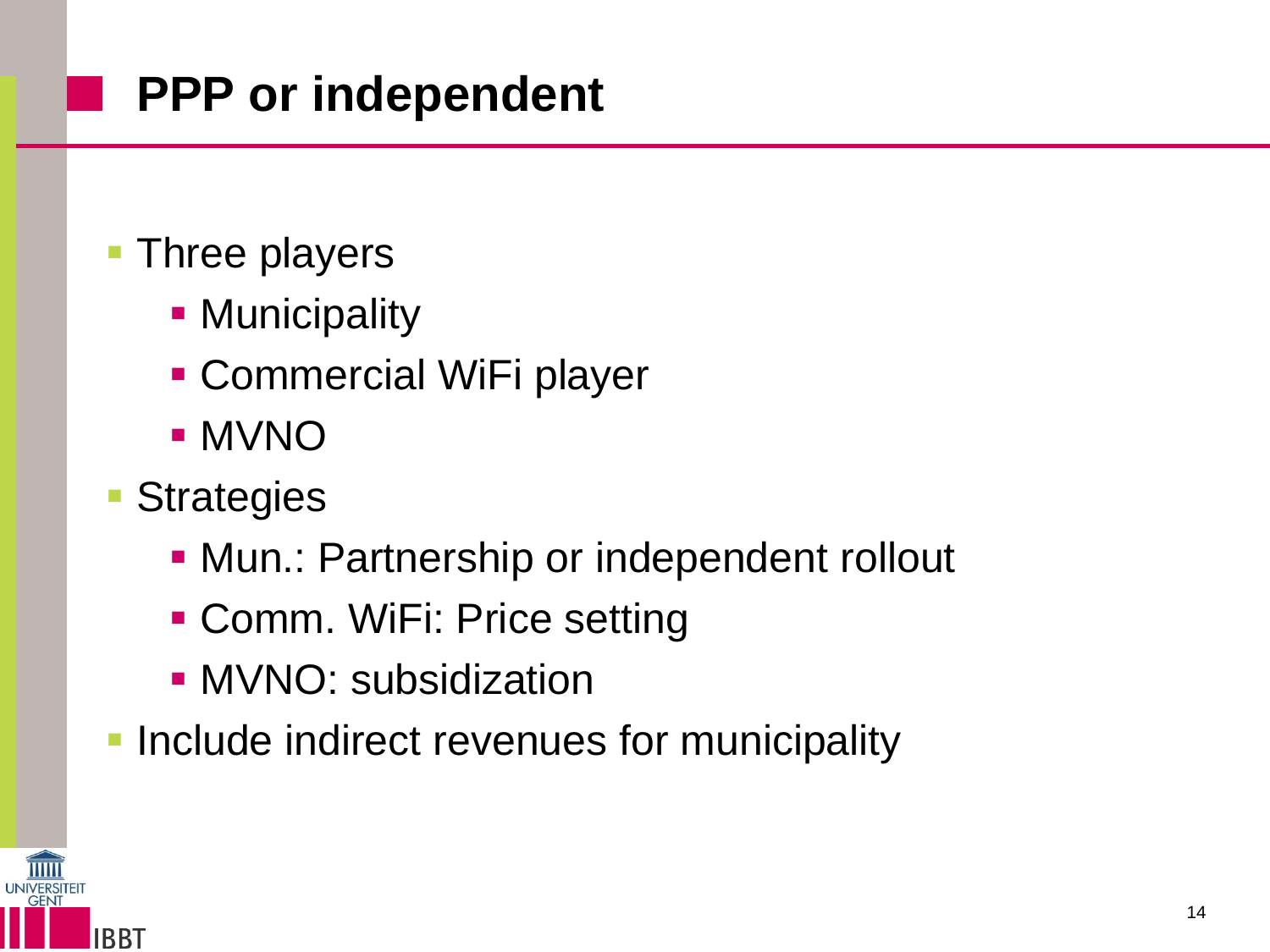## **PPP or independent**

#### **Three players**

- **Municipality**
- Commercial WiFi player
- MVNO
- **Strategies** 
	- **Mun.: Partnership or independent rollout**
	- Comm. WiFi: Price setting
	- **MVNO: subsidization**
- **Include indirect revenues for municipality**

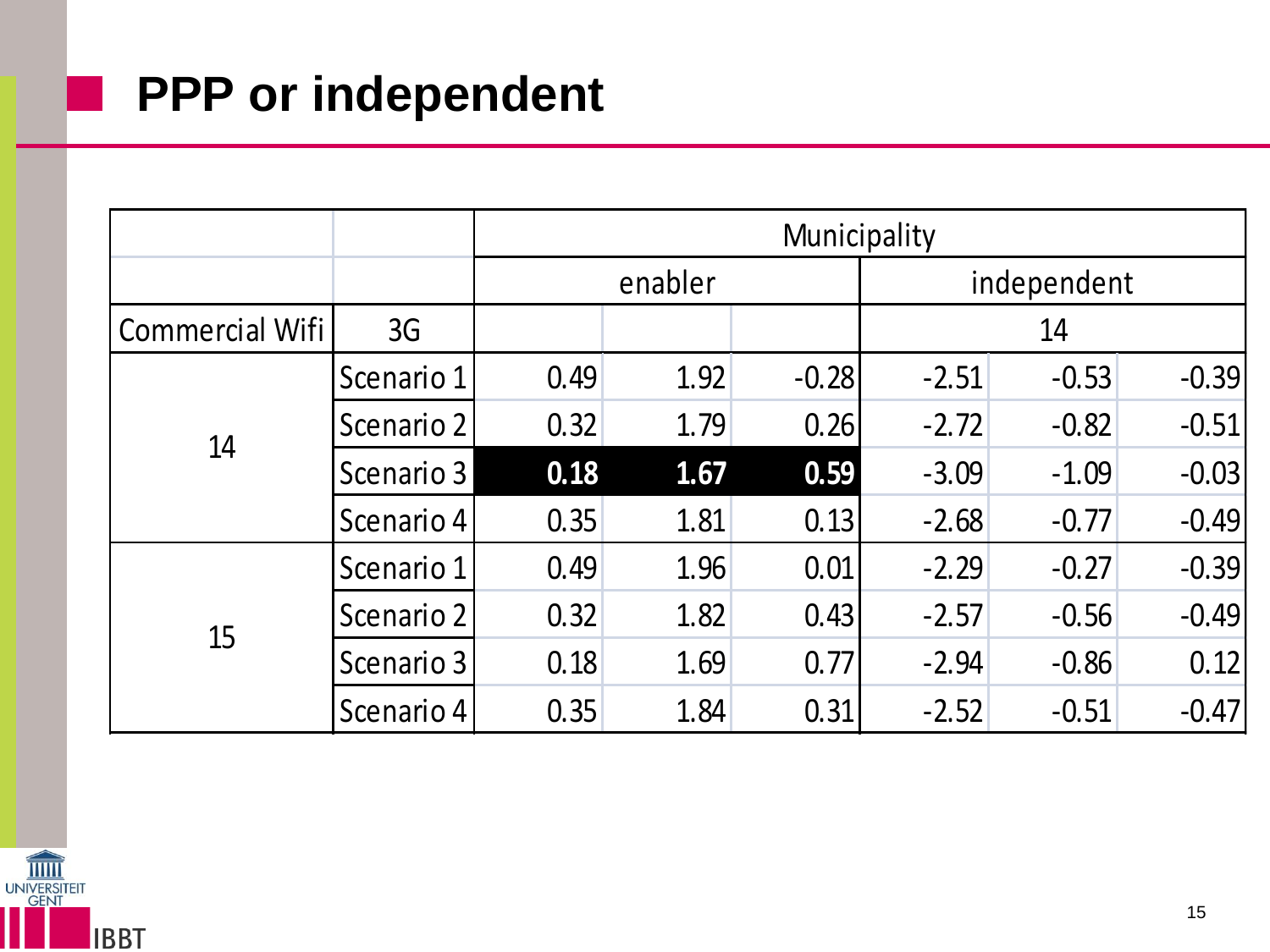#### **PPP** or independent

|                 |            | Municipality |      |         |             |         |         |  |
|-----------------|------------|--------------|------|---------|-------------|---------|---------|--|
|                 |            | enabler      |      |         | independent |         |         |  |
| Commercial Wifi | 3G         |              |      |         | 14          |         |         |  |
| 14              | Scenario 1 | 0.49         | 1.92 | $-0.28$ | $-2.51$     | $-0.53$ | $-0.39$ |  |
|                 | Scenario 2 | 0.32         | 1.79 | 0.26    | $-2.72$     | $-0.82$ | $-0.51$ |  |
|                 | Scenario 3 | 0.18         | 1.67 | 0.59    | $-3.09$     | $-1.09$ | $-0.03$ |  |
|                 | Scenario 4 | 0.35         | 1.81 | 0.13    | $-2.68$     | $-0.77$ | $-0.49$ |  |
| 15              | Scenario 1 | 0.49         | 1.96 | 0.01    | $-2.29$     | $-0.27$ | $-0.39$ |  |
|                 | Scenario 2 | 0.32         | 1.82 | 0.43    | $-2.57$     | $-0.56$ | $-0.49$ |  |
|                 | Scenario 3 | 0.18         | 1.69 | 0.77    | $-2.94$     | $-0.86$ | 0.12    |  |
|                 | Scenario 4 | 0.35         | 1.84 | 0.31    | $-2.52$     | $-0.51$ | $-0.47$ |  |

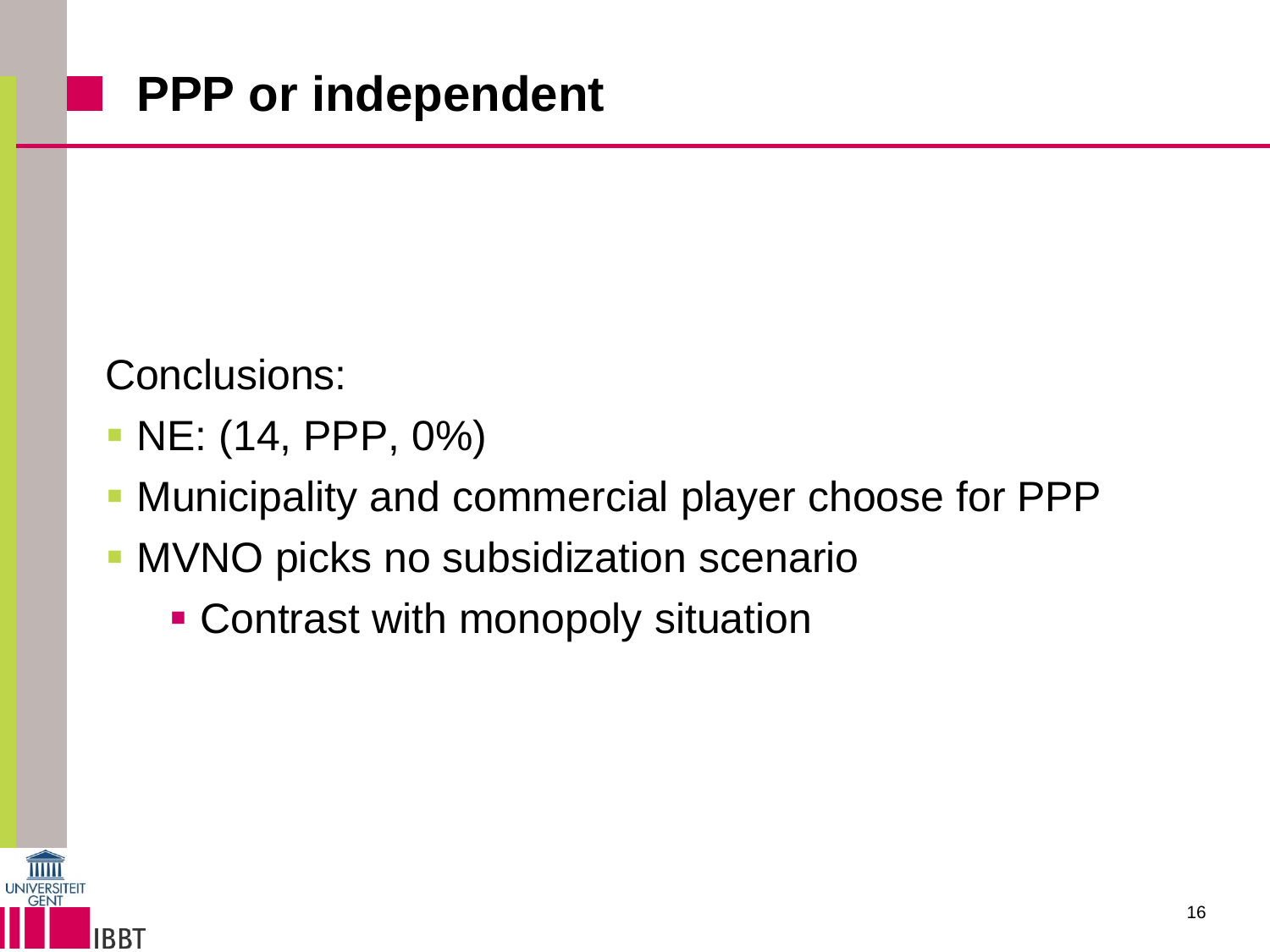Conclusions:

- NE: (14, PPP, 0%)
- **Municipality and commercial player choose for PPP**
- **MVNO** picks no subsidization scenario
	- Contrast with monopoly situation

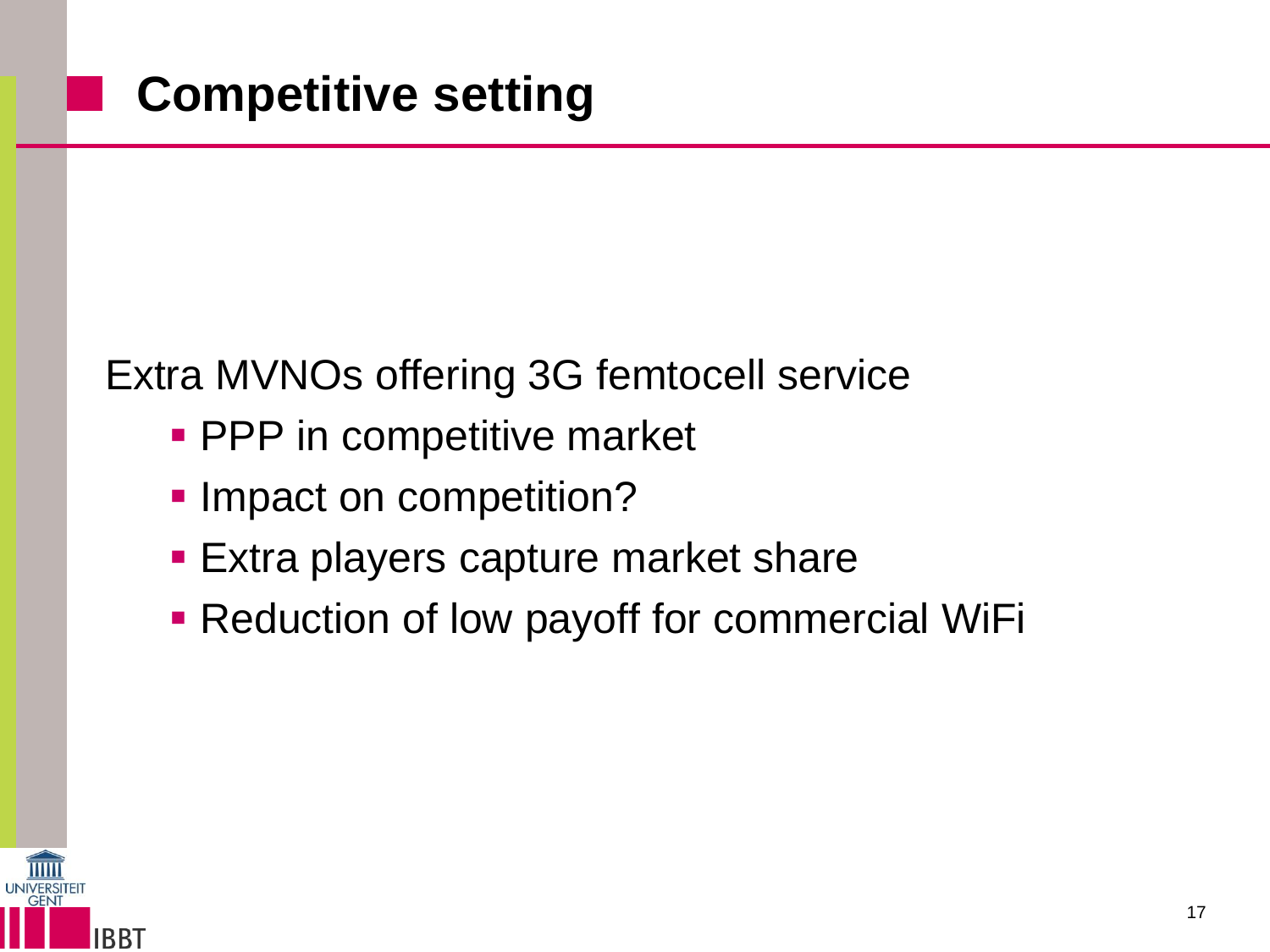#### Extra MVNOs offering 3G femtocell service

- **PPP** in competitive market
- **Impact on competition?**
- **Extra players capture market share**
- **Reduction of low payoff for commercial WiFi**

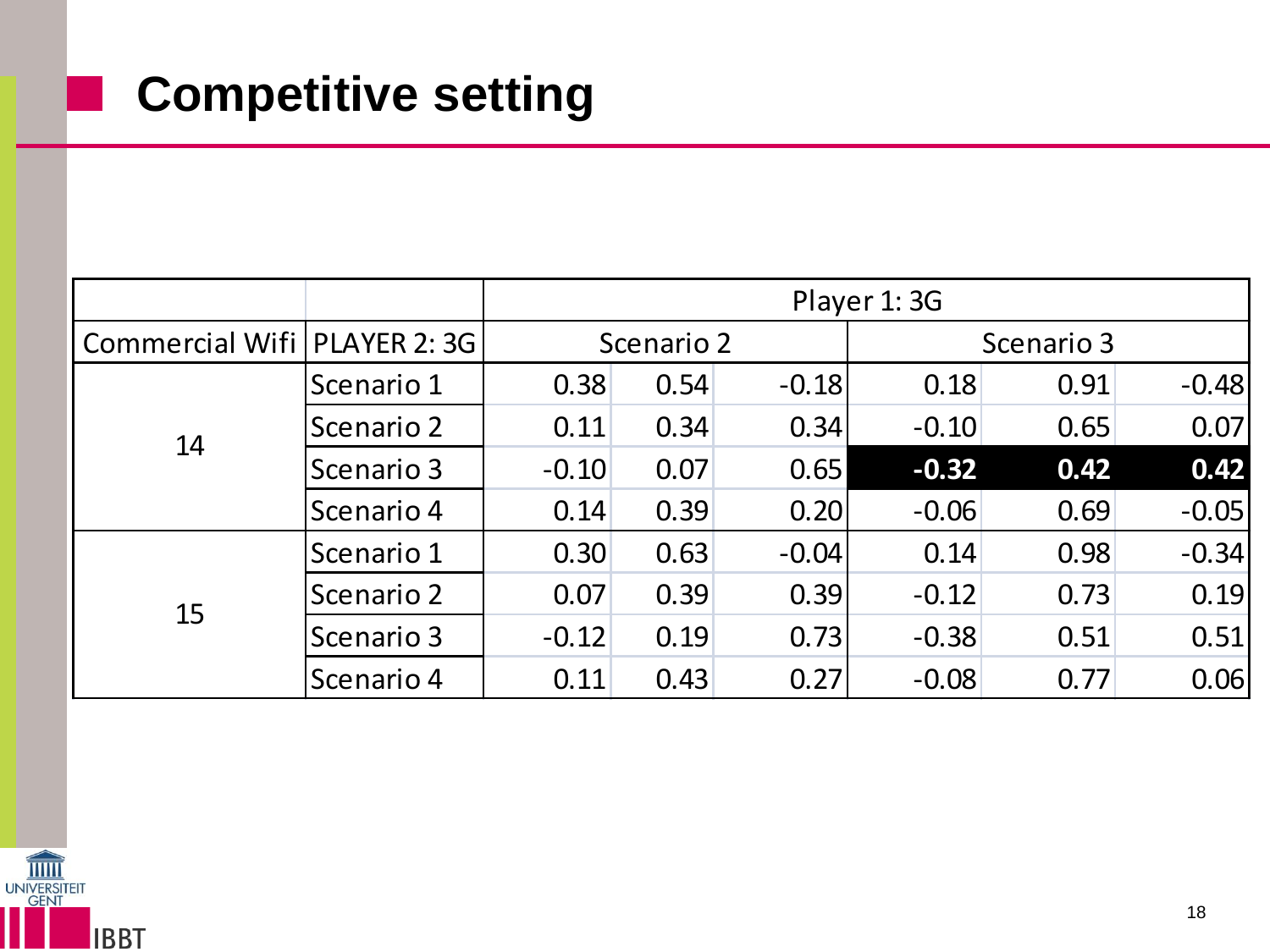### **E** Competitive setting

|                                |            | Player 1:3G |      |         |            |      |         |  |
|--------------------------------|------------|-------------|------|---------|------------|------|---------|--|
| Commercial Wifi   PLAYER 2: 3G |            | Scenario 2  |      |         | Scenario 3 |      |         |  |
| 14                             | Scenario 1 | 0.38        | 0.54 | $-0.18$ | 0.18       | 0.91 | $-0.48$ |  |
|                                | Scenario 2 | 0.11        | 0.34 | 0.34    | $-0.10$    | 0.65 | 0.07    |  |
|                                | Scenario 3 | $-0.10$     | 0.07 | 0.65    | $-0.32$    | 0.42 | 0.42    |  |
|                                | Scenario 4 | 0.14        | 0.39 | 0.20    | $-0.06$    | 0.69 | $-0.05$ |  |
| 15                             | Scenario 1 | 0.30        | 0.63 | $-0.04$ | 0.14       | 0.98 | $-0.34$ |  |
|                                | Scenario 2 | 0.07        | 0.39 | 0.39    | $-0.12$    | 0.73 | 0.19    |  |
|                                | Scenario 3 | $-0.12$     | 0.19 | 0.73    | $-0.38$    | 0.51 | 0.51    |  |
|                                | Scenario 4 | 0.11        | 0.43 | 0.27    | $-0.08$    | 0.77 | 0.06    |  |

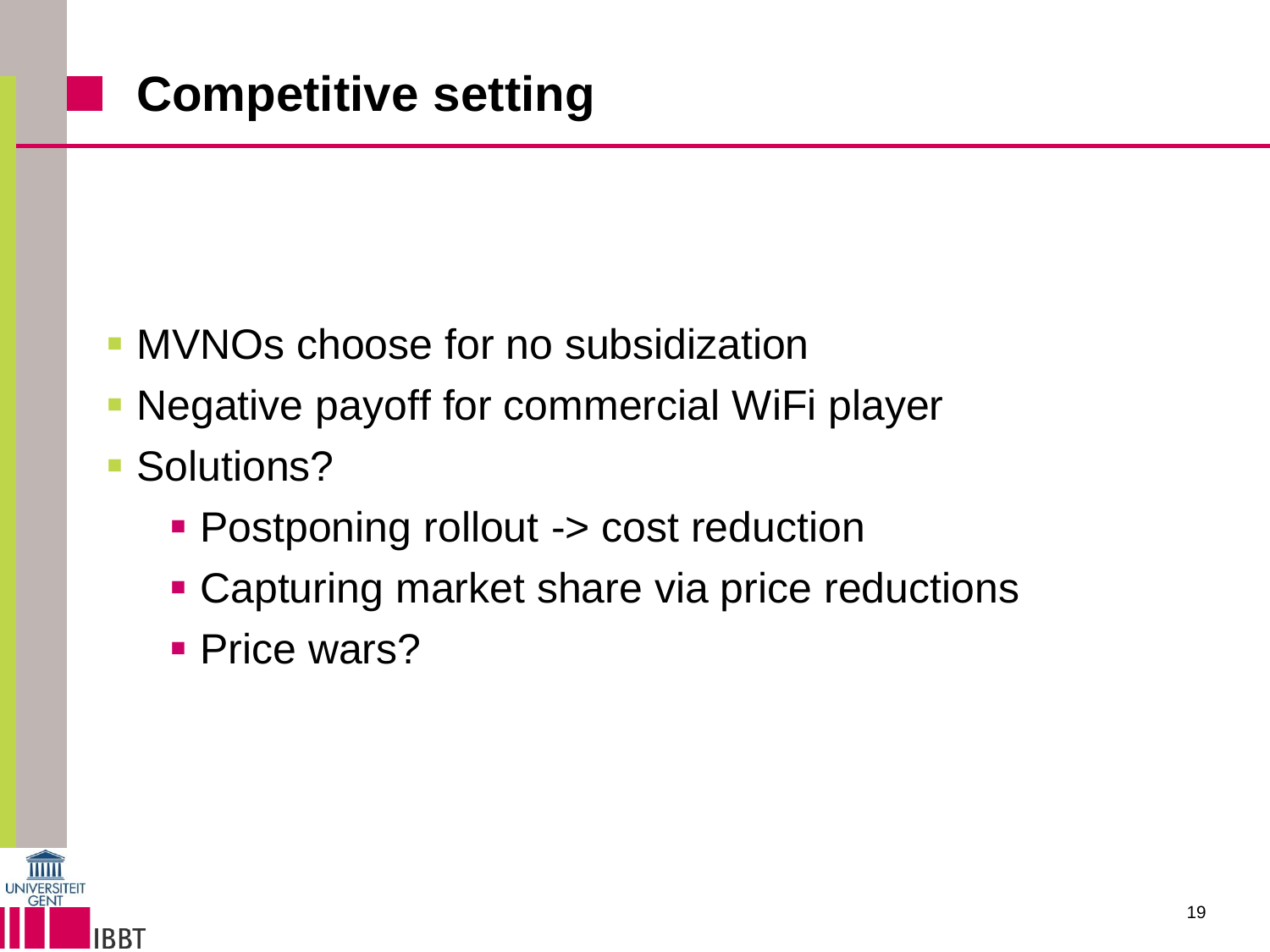- MVNOs choose for no subsidization
- Negative payoff for commercial WiFi player
- Solutions?
	- **Postponing rollout -> cost reduction**
	- **Capturing market share via price reductions**
	- **Price wars?**

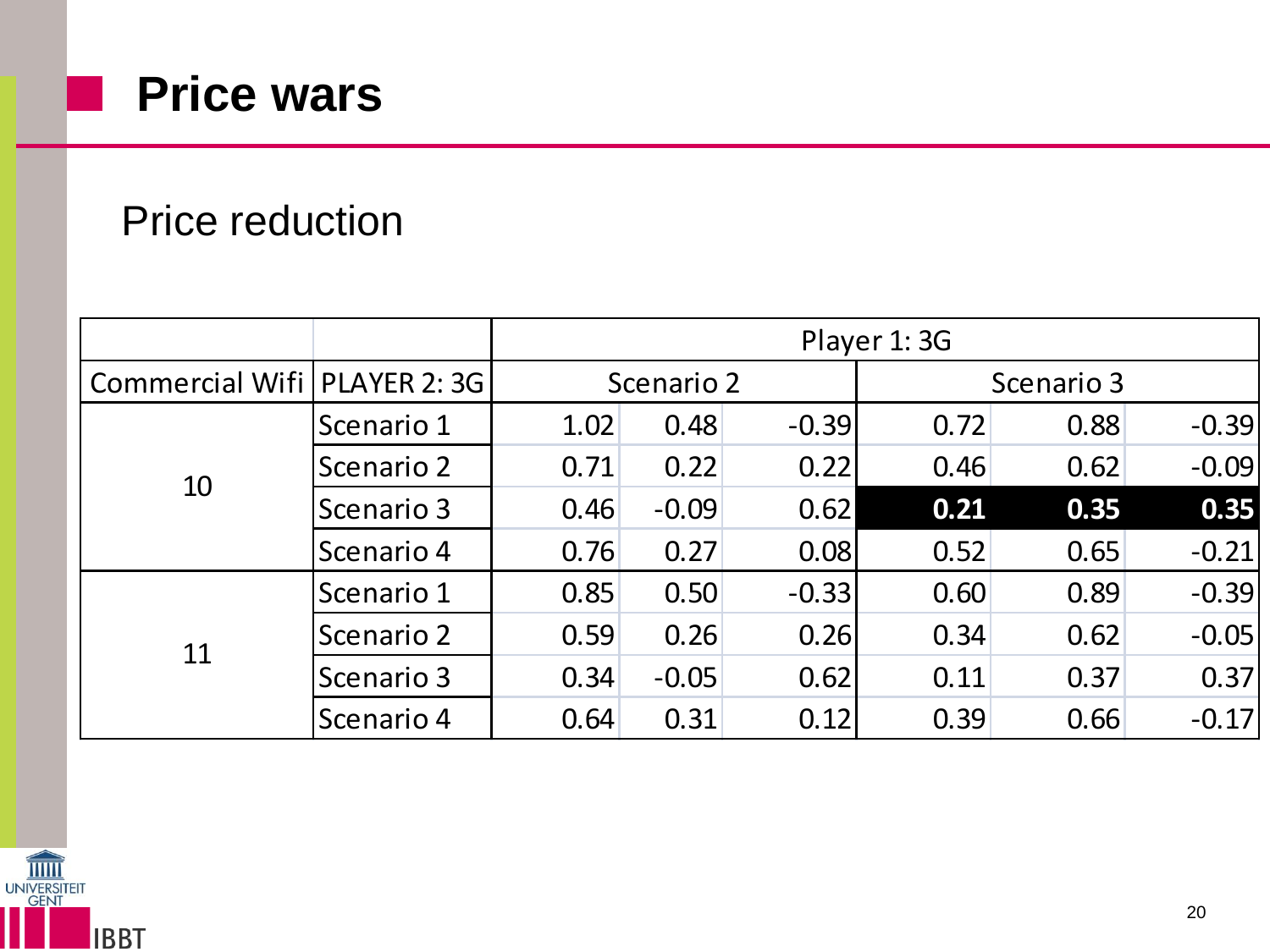

#### Price reduction

|                                |            | Player 1:3G |         |         |            |      |         |  |
|--------------------------------|------------|-------------|---------|---------|------------|------|---------|--|
| Commercial Wifi   PLAYER 2: 3G |            | Scenario 2  |         |         | Scenario 3 |      |         |  |
| 10                             | Scenario 1 | 1.02        | 0.48    | $-0.39$ | 0.72       | 0.88 | $-0.39$ |  |
|                                | Scenario 2 | 0.71        | 0.22    | 0.22    | 0.46       | 0.62 | $-0.09$ |  |
|                                | Scenario 3 | 0.46        | $-0.09$ | 0.62    | 0.21       | 0.35 | 0.35    |  |
|                                | Scenario 4 | 0.76        | 0.27    | 0.08    | 0.52       | 0.65 | $-0.21$ |  |
| 11                             | Scenario 1 | 0.85        | 0.50    | $-0.33$ | 0.60       | 0.89 | $-0.39$ |  |
|                                | Scenario 2 | 0.59        | 0.26    | 0.26    | 0.34       | 0.62 | $-0.05$ |  |
|                                | Scenario 3 | 0.34        | $-0.05$ | 0.62    | 0.11       | 0.37 | 0.37    |  |
|                                | Scenario 4 | 0.64        | 0.31    | 0.12    | 0.39       | 0.66 | $-0.17$ |  |

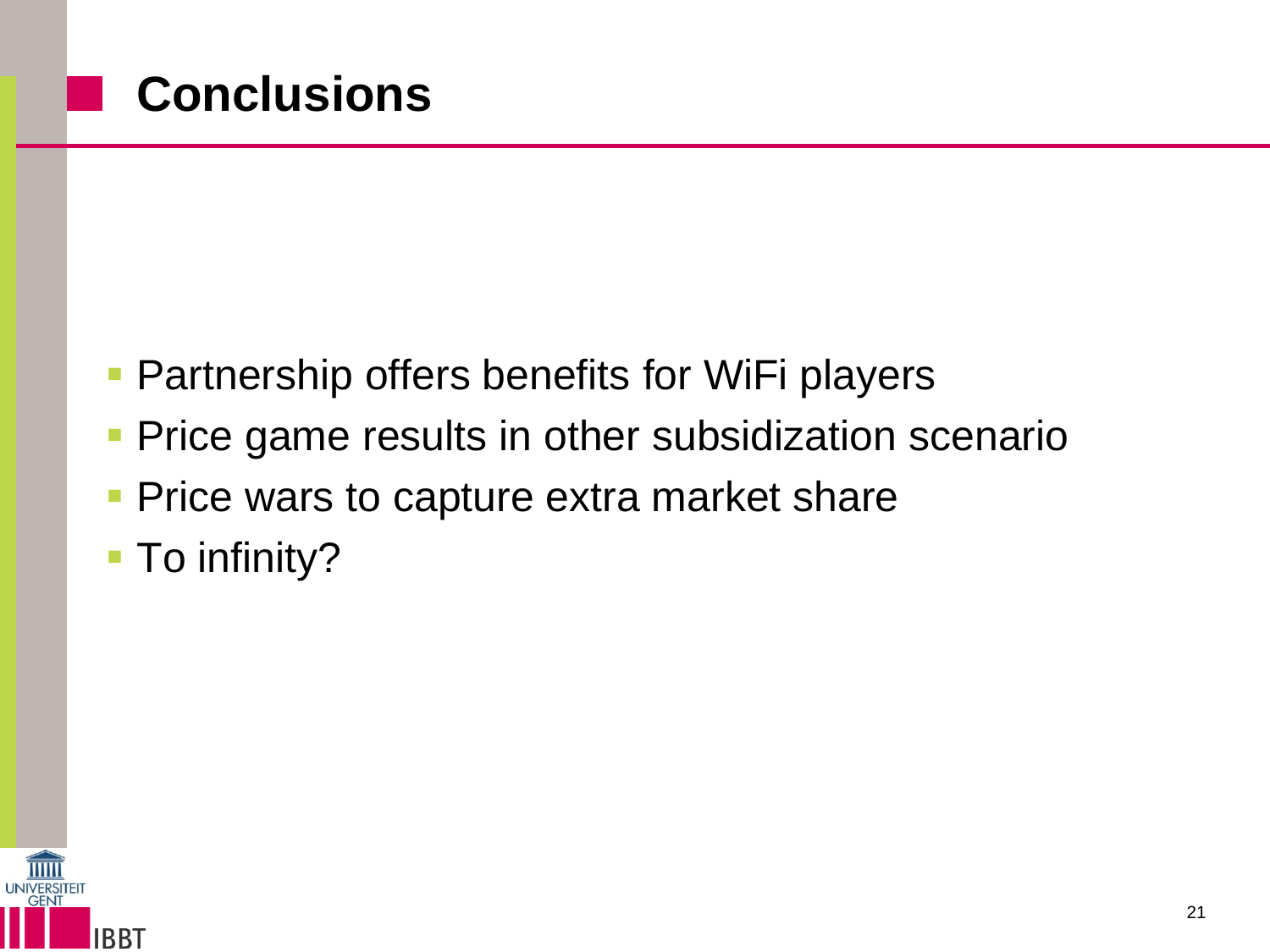## **Conclusions**

- **Partnership offers benefits for WiFi players**
- **Price game results in other subsidization scenario**
- **Price wars to capture extra market share**
- **To infinity?**

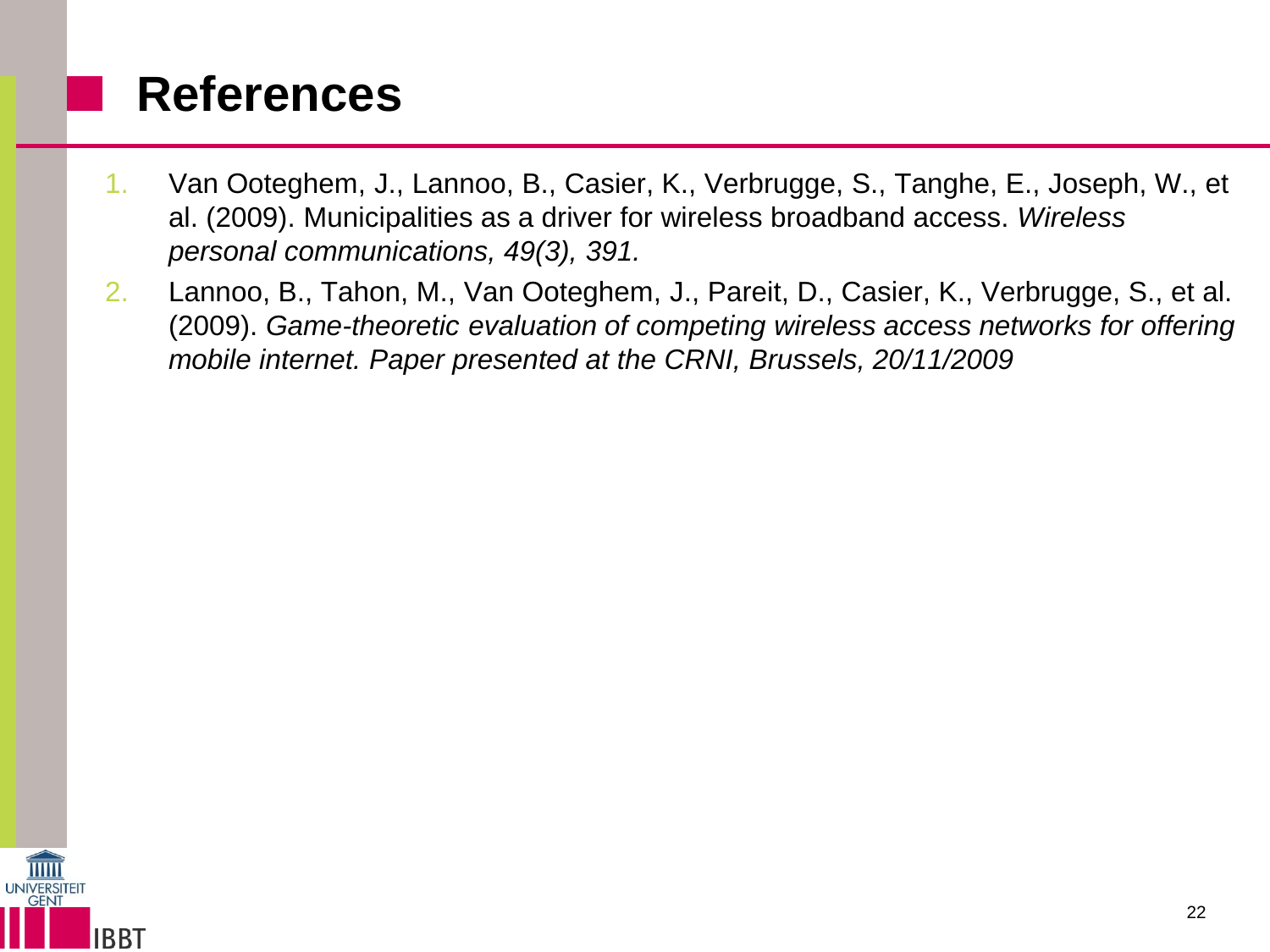#### **References**

- 1. Van Ooteghem, J., Lannoo, B., Casier, K., Verbrugge, S., Tanghe, E., Joseph, W., et al. (2009). Municipalities as a driver for wireless broadband access. *Wireless personal communications, 49(3), 391.*
- 2. Lannoo, B., Tahon, M., Van Ooteghem, J., Pareit, D., Casier, K., Verbrugge, S., et al. (2009). *Game-theoretic evaluation of competing wireless access networks for offering mobile internet. Paper presented at the CRNI, Brussels, 20/11/2009*